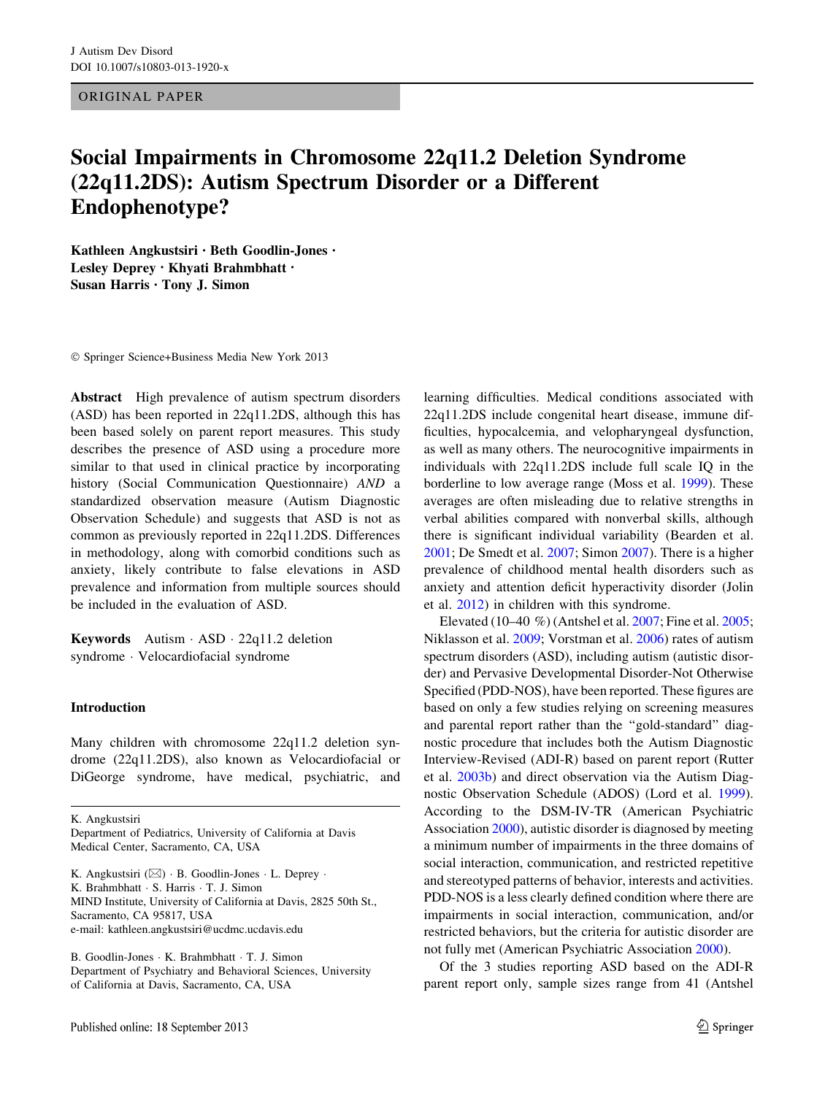ORIGINAL PAPER

# Social Impairments in Chromosome 22q11.2 Deletion Syndrome (22q11.2DS): Autism Spectrum Disorder or a Different Endophenotype?

Kathleen Angkustsiri • Beth Goodlin-Jones • Lesley Deprey • Khyati Brahmbhatt • Susan Harris • Tony J. Simon

- Springer Science+Business Media New York 2013

Abstract High prevalence of autism spectrum disorders (ASD) has been reported in 22q11.2DS, although this has been based solely on parent report measures. This study describes the presence of ASD using a procedure more similar to that used in clinical practice by incorporating history (Social Communication Questionnaire) AND a standardized observation measure (Autism Diagnostic Observation Schedule) and suggests that ASD is not as common as previously reported in 22q11.2DS. Differences in methodology, along with comorbid conditions such as anxiety, likely contribute to false elevations in ASD prevalence and information from multiple sources should be included in the evaluation of ASD.

**Keywords** Autism  $-$  ASD  $-$  22q11.2 deletion syndrome - Velocardiofacial syndrome

## Introduction

Many children with chromosome 22q11.2 deletion syndrome (22q11.2DS), also known as Velocardiofacial or DiGeorge syndrome, have medical, psychiatric, and

K. Angkustsiri

K. Angkustsiri  $(\boxtimes) \cdot B$ . Goodlin-Jones  $\cdot L$ . Deprey  $\cdot$ K. Brahmbhatt - S. Harris - T. J. Simon MIND Institute, University of California at Davis, 2825 50th St., Sacramento, CA 95817, USA e-mail: kathleen.angkustsiri@ucdmc.ucdavis.edu

B. Goodlin-Jones - K. Brahmbhatt - T. J. Simon Department of Psychiatry and Behavioral Sciences, University of California at Davis, Sacramento, CA, USA

learning difficulties. Medical conditions associated with 22q11.2DS include congenital heart disease, immune difficulties, hypocalcemia, and velopharyngeal dysfunction, as well as many others. The neurocognitive impairments in individuals with 22q11.2DS include full scale IQ in the borderline to low average range (Moss et al. [1999](#page-7-0)). These averages are often misleading due to relative strengths in verbal abilities compared with nonverbal skills, although there is significant individual variability (Bearden et al. [2001](#page-6-0); De Smedt et al. [2007](#page-6-0); Simon [2007\)](#page-7-0). There is a higher prevalence of childhood mental health disorders such as anxiety and attention deficit hyperactivity disorder (Jolin et al. [2012\)](#page-6-0) in children with this syndrome.

Elevated (10–40 %) (Antshel et al. [2007;](#page-6-0) Fine et al. [2005](#page-6-0); Niklasson et al. [2009;](#page-7-0) Vorstman et al. [2006\)](#page-7-0) rates of autism spectrum disorders (ASD), including autism (autistic disorder) and Pervasive Developmental Disorder-Not Otherwise Specified (PDD-NOS), have been reported. These figures are based on only a few studies relying on screening measures and parental report rather than the ''gold-standard'' diagnostic procedure that includes both the Autism Diagnostic Interview-Revised (ADI-R) based on parent report (Rutter et al. [2003b](#page-7-0)) and direct observation via the Autism Diagnostic Observation Schedule (ADOS) (Lord et al. [1999](#page-6-0)). According to the DSM-IV-TR (American Psychiatric Association [2000](#page-6-0)), autistic disorder is diagnosed by meeting a minimum number of impairments in the three domains of social interaction, communication, and restricted repetitive and stereotyped patterns of behavior, interests and activities. PDD-NOS is a less clearly defined condition where there are impairments in social interaction, communication, and/or restricted behaviors, but the criteria for autistic disorder are not fully met (American Psychiatric Association [2000](#page-6-0)).

Of the 3 studies reporting ASD based on the ADI-R parent report only, sample sizes range from 41 (Antshel

Department of Pediatrics, University of California at Davis Medical Center, Sacramento, CA, USA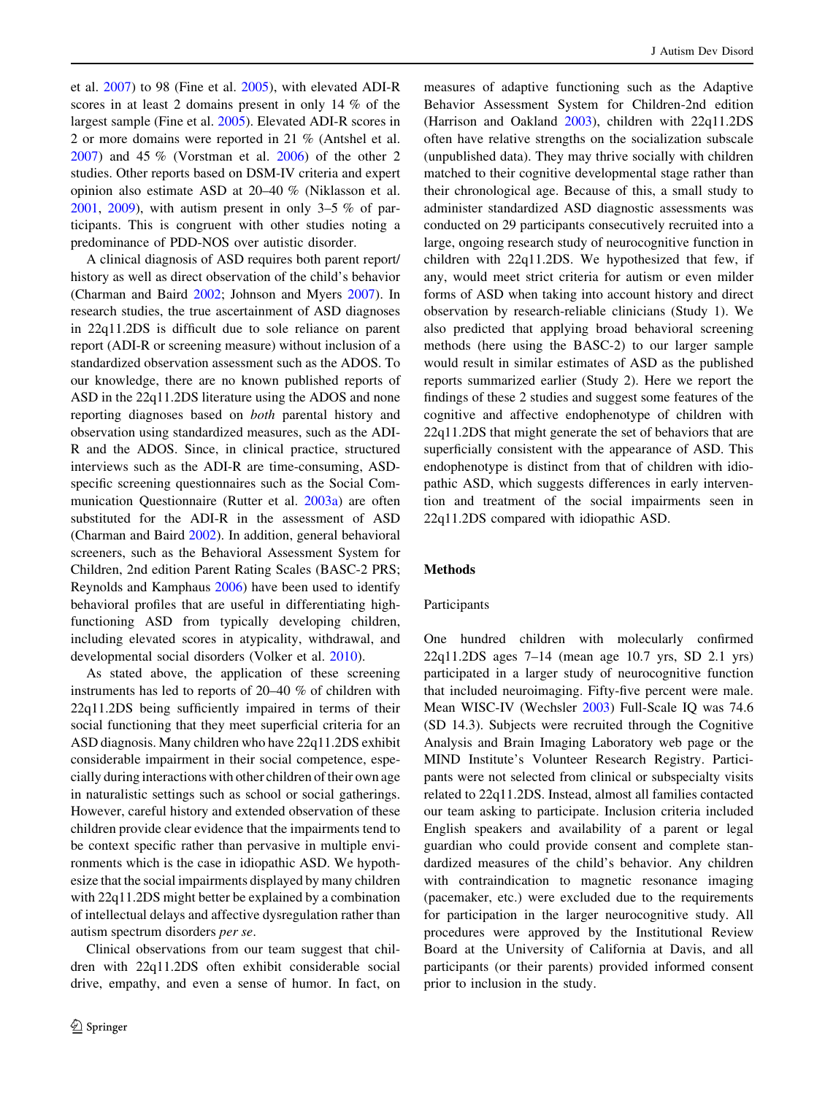et al. [2007\)](#page-6-0) to 98 (Fine et al. [2005](#page-6-0)), with elevated ADI-R scores in at least 2 domains present in only 14 % of the largest sample (Fine et al. [2005](#page-6-0)). Elevated ADI-R scores in 2 or more domains were reported in 21 % (Antshel et al. [2007\)](#page-6-0) and 45 % (Vorstman et al. [2006\)](#page-7-0) of the other 2 studies. Other reports based on DSM-IV criteria and expert opinion also estimate ASD at 20–40 % (Niklasson et al.  $2001, 2009$  $2001, 2009$ , with autism present in only 3–5 % of participants. This is congruent with other studies noting a predominance of PDD-NOS over autistic disorder.

A clinical diagnosis of ASD requires both parent report/ history as well as direct observation of the child's behavior (Charman and Baird [2002;](#page-6-0) Johnson and Myers [2007\)](#page-6-0). In research studies, the true ascertainment of ASD diagnoses in 22q11.2DS is difficult due to sole reliance on parent report (ADI-R or screening measure) without inclusion of a standardized observation assessment such as the ADOS. To our knowledge, there are no known published reports of ASD in the 22q11.2DS literature using the ADOS and none reporting diagnoses based on both parental history and observation using standardized measures, such as the ADI-R and the ADOS. Since, in clinical practice, structured interviews such as the ADI-R are time-consuming, ASDspecific screening questionnaires such as the Social Communication Questionnaire (Rutter et al. [2003a](#page-7-0)) are often substituted for the ADI-R in the assessment of ASD (Charman and Baird [2002](#page-6-0)). In addition, general behavioral screeners, such as the Behavioral Assessment System for Children, 2nd edition Parent Rating Scales (BASC-2 PRS; Reynolds and Kamphaus [2006](#page-7-0)) have been used to identify behavioral profiles that are useful in differentiating highfunctioning ASD from typically developing children, including elevated scores in atypicality, withdrawal, and developmental social disorders (Volker et al. [2010](#page-7-0)).

As stated above, the application of these screening instruments has led to reports of 20–40 % of children with 22q11.2DS being sufficiently impaired in terms of their social functioning that they meet superficial criteria for an ASD diagnosis. Many children who have 22q11.2DS exhibit considerable impairment in their social competence, especially during interactions with other children of their own age in naturalistic settings such as school or social gatherings. However, careful history and extended observation of these children provide clear evidence that the impairments tend to be context specific rather than pervasive in multiple environments which is the case in idiopathic ASD. We hypothesize that the social impairments displayed by many children with 22q11.2DS might better be explained by a combination of intellectual delays and affective dysregulation rather than autism spectrum disorders per se.

Clinical observations from our team suggest that children with 22q11.2DS often exhibit considerable social drive, empathy, and even a sense of humor. In fact, on measures of adaptive functioning such as the Adaptive Behavior Assessment System for Children-2nd edition (Harrison and Oakland [2003\)](#page-6-0), children with 22q11.2DS often have relative strengths on the socialization subscale (unpublished data). They may thrive socially with children matched to their cognitive developmental stage rather than their chronological age. Because of this, a small study to administer standardized ASD diagnostic assessments was conducted on 29 participants consecutively recruited into a large, ongoing research study of neurocognitive function in children with 22q11.2DS. We hypothesized that few, if any, would meet strict criteria for autism or even milder forms of ASD when taking into account history and direct observation by research-reliable clinicians (Study 1). We also predicted that applying broad behavioral screening methods (here using the BASC-2) to our larger sample would result in similar estimates of ASD as the published reports summarized earlier (Study 2). Here we report the findings of these 2 studies and suggest some features of the cognitive and affective endophenotype of children with 22q11.2DS that might generate the set of behaviors that are superficially consistent with the appearance of ASD. This endophenotype is distinct from that of children with idiopathic ASD, which suggests differences in early intervention and treatment of the social impairments seen in 22q11.2DS compared with idiopathic ASD.

## Methods

#### Participants

One hundred children with molecularly confirmed 22q11.2DS ages 7–14 (mean age 10.7 yrs, SD 2.1 yrs) participated in a larger study of neurocognitive function that included neuroimaging. Fifty-five percent were male. Mean WISC-IV (Wechsler [2003\)](#page-7-0) Full-Scale IQ was 74.6 (SD 14.3). Subjects were recruited through the Cognitive Analysis and Brain Imaging Laboratory web page or the MIND Institute's Volunteer Research Registry. Participants were not selected from clinical or subspecialty visits related to 22q11.2DS. Instead, almost all families contacted our team asking to participate. Inclusion criteria included English speakers and availability of a parent or legal guardian who could provide consent and complete standardized measures of the child's behavior. Any children with contraindication to magnetic resonance imaging (pacemaker, etc.) were excluded due to the requirements for participation in the larger neurocognitive study. All procedures were approved by the Institutional Review Board at the University of California at Davis, and all participants (or their parents) provided informed consent prior to inclusion in the study.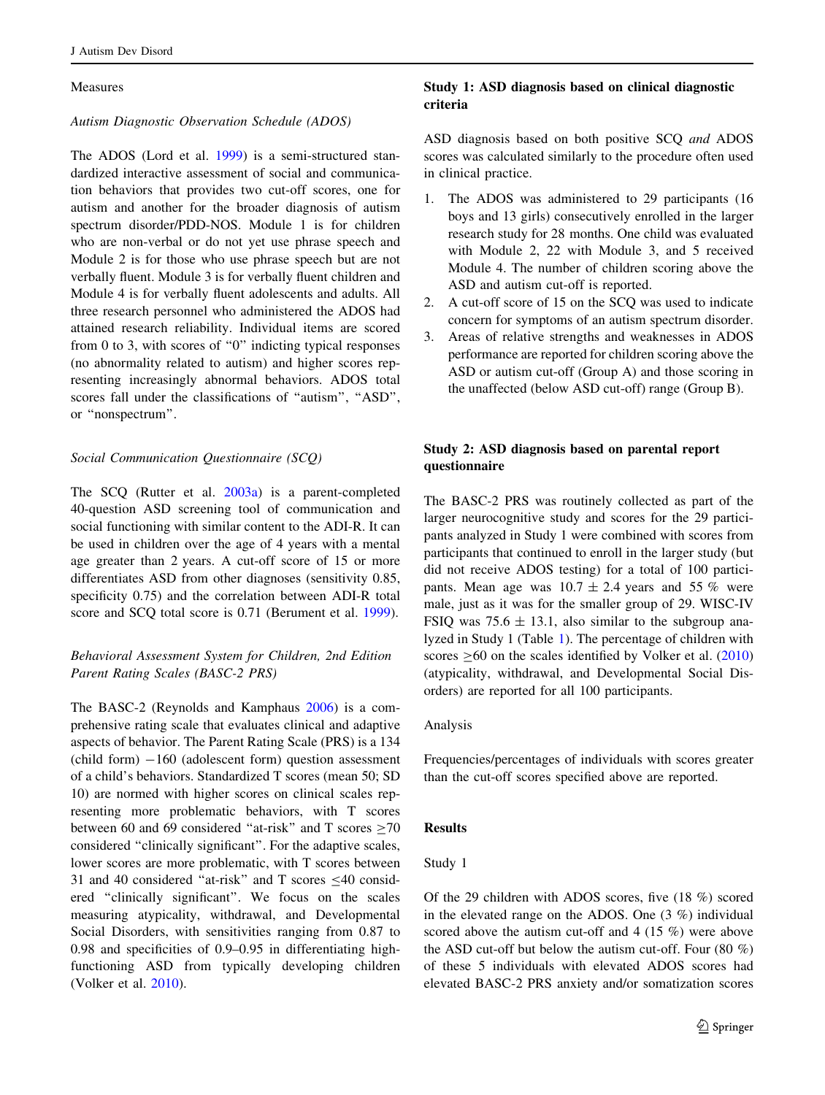## Measures

## Autism Diagnostic Observation Schedule (ADOS)

The ADOS (Lord et al. [1999](#page-6-0)) is a semi-structured standardized interactive assessment of social and communication behaviors that provides two cut-off scores, one for autism and another for the broader diagnosis of autism spectrum disorder/PDD-NOS. Module 1 is for children who are non-verbal or do not yet use phrase speech and Module 2 is for those who use phrase speech but are not verbally fluent. Module 3 is for verbally fluent children and Module 4 is for verbally fluent adolescents and adults. All three research personnel who administered the ADOS had attained research reliability. Individual items are scored from 0 to 3, with scores of "0" indicting typical responses (no abnormality related to autism) and higher scores representing increasingly abnormal behaviors. ADOS total scores fall under the classifications of ''autism'', ''ASD'', or ''nonspectrum''.

## Social Communication Questionnaire (SCQ)

The SCQ (Rutter et al. [2003a](#page-7-0)) is a parent-completed 40-question ASD screening tool of communication and social functioning with similar content to the ADI-R. It can be used in children over the age of 4 years with a mental age greater than 2 years. A cut-off score of 15 or more differentiates ASD from other diagnoses (sensitivity 0.85, specificity 0.75) and the correlation between ADI-R total score and SCQ total score is 0.71 (Berument et al. [1999](#page-6-0)).

# Behavioral Assessment System for Children, 2nd Edition Parent Rating Scales (BASC-2 PRS)

The BASC-2 (Reynolds and Kamphaus [2006](#page-7-0)) is a comprehensive rating scale that evaluates clinical and adaptive aspects of behavior. The Parent Rating Scale (PRS) is a 134  $\text{(child form)} -160$  (adolescent form) question assessment of a child's behaviors. Standardized T scores (mean 50; SD 10) are normed with higher scores on clinical scales representing more problematic behaviors, with T scores between 60 and 69 considered "at-risk" and T scores  $\geq$ 70 considered ''clinically significant''. For the adaptive scales, lower scores are more problematic, with T scores between 31 and 40 considered "at-risk" and T scores  $\leq$ 40 considered ''clinically significant''. We focus on the scales measuring atypicality, withdrawal, and Developmental Social Disorders, with sensitivities ranging from 0.87 to 0.98 and specificities of 0.9–0.95 in differentiating highfunctioning ASD from typically developing children (Volker et al. [2010](#page-7-0)).

# Study 1: ASD diagnosis based on clinical diagnostic criteria

ASD diagnosis based on both positive SCQ and ADOS scores was calculated similarly to the procedure often used in clinical practice.

- 1. The ADOS was administered to 29 participants (16 boys and 13 girls) consecutively enrolled in the larger research study for 28 months. One child was evaluated with Module 2, 22 with Module 3, and 5 received Module 4. The number of children scoring above the ASD and autism cut-off is reported.
- 2. A cut-off score of 15 on the SCQ was used to indicate concern for symptoms of an autism spectrum disorder.
- 3. Areas of relative strengths and weaknesses in ADOS performance are reported for children scoring above the ASD or autism cut-off (Group A) and those scoring in the unaffected (below ASD cut-off) range (Group B).

# Study 2: ASD diagnosis based on parental report questionnaire

The BASC-2 PRS was routinely collected as part of the larger neurocognitive study and scores for the 29 participants analyzed in Study 1 were combined with scores from participants that continued to enroll in the larger study (but did not receive ADOS testing) for a total of 100 participants. Mean age was  $10.7 \pm 2.4$  years and 55 % were male, just as it was for the smaller group of 29. WISC-IV FSIQ was  $75.6 \pm 13.1$ , also similar to the subgroup analyzed in Study 1 (Table [1](#page-3-0)). The percentage of children with scores  $\geq 60$  on the scales identified by Volker et al. ([2010\)](#page-7-0) (atypicality, withdrawal, and Developmental Social Disorders) are reported for all 100 participants.

## Analysis

Frequencies/percentages of individuals with scores greater than the cut-off scores specified above are reported.

## Results

#### Study 1

Of the 29 children with ADOS scores, five (18 %) scored in the elevated range on the ADOS. One (3 %) individual scored above the autism cut-off and 4 (15 %) were above the ASD cut-off but below the autism cut-off. Four  $(80\%)$ of these 5 individuals with elevated ADOS scores had elevated BASC-2 PRS anxiety and/or somatization scores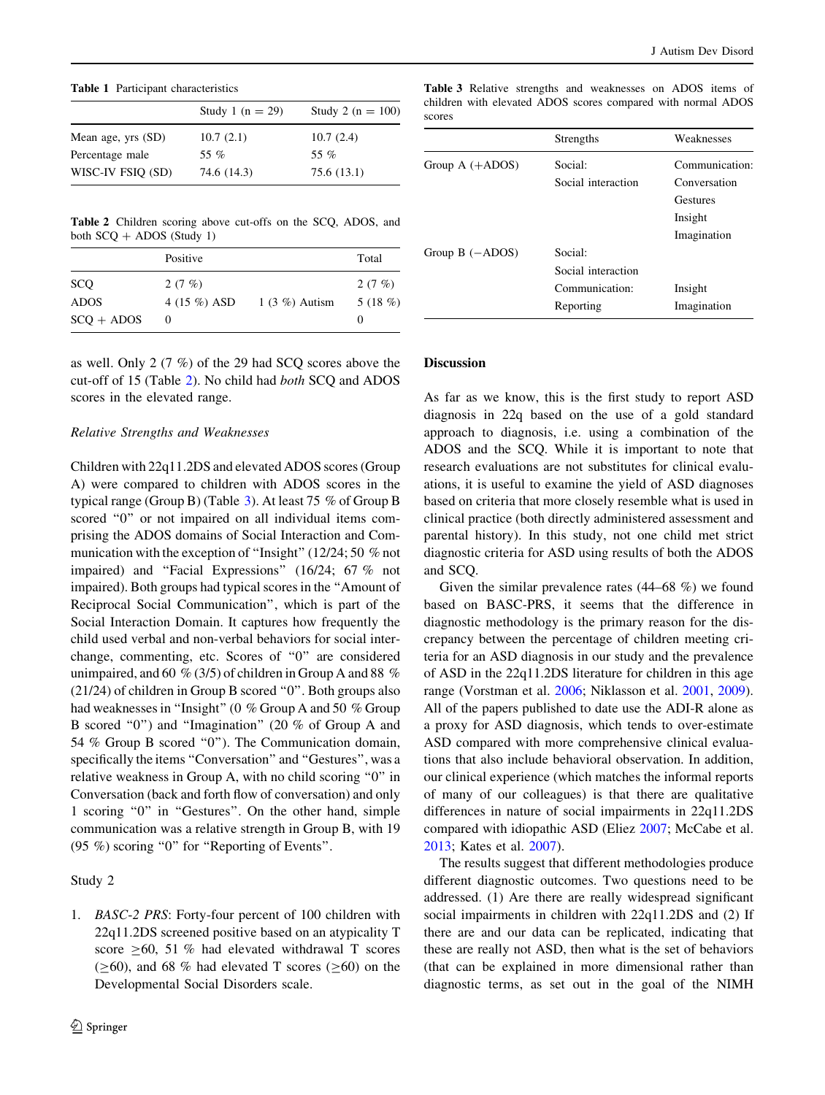<span id="page-3-0"></span>Table 1 Participant characteristics

|                    | Study 1 ( $n = 29$ ) | Study 2 ( $n = 100$ ) |
|--------------------|----------------------|-----------------------|
| Mean age, yrs (SD) | 10.7(2.1)            | 10.7(2.4)             |
| Percentage male    | 55 %                 | 55 %                  |
| WISC-IV FSIQ (SD)  | 74.6 (14.3)          | 75.6(13.1)            |
|                    |                      |                       |

Table 2 Children scoring above cut-offs on the SCQ, ADOS, and both  $SCO + ADOS$  (Study 1)

|              | Positive     |                 | Total      |
|--------------|--------------|-----------------|------------|
| <b>SCQ</b>   | 2 $(7 \%)$   |                 | 2 (7 $%$ ) |
| <b>ADOS</b>  | 4 (15 %) ASD | $1(3\%)$ Autism | 5 $(18\%)$ |
| $SCO + ADOS$ | $\theta$     |                 |            |

as well. Only 2 (7 %) of the 29 had SCQ scores above the cut-off of 15 (Table 2). No child had both SCQ and ADOS scores in the elevated range.

#### Relative Strengths and Weaknesses

Children with 22q11.2DS and elevated ADOS scores (Group A) were compared to children with ADOS scores in the typical range (Group B) (Table 3). At least 75 % of Group B scored "0" or not impaired on all individual items comprising the ADOS domains of Social Interaction and Communication with the exception of ''Insight'' (12/24; 50 % not impaired) and ''Facial Expressions'' (16/24; 67 % not impaired). Both groups had typical scores in the ''Amount of Reciprocal Social Communication'', which is part of the Social Interaction Domain. It captures how frequently the child used verbal and non-verbal behaviors for social interchange, commenting, etc. Scores of ''0'' are considered unimpaired, and 60 % (3/5) of children in Group A and 88 % (21/24) of children in Group B scored ''0''. Both groups also had weaknesses in ''Insight'' (0 % Group A and 50 % Group B scored "0") and "Imagination" (20 % of Group A and 54 % Group B scored ''0''). The Communication domain, specifically the items "Conversation" and "Gestures", was a relative weakness in Group A, with no child scoring ''0'' in Conversation (back and forth flow of conversation) and only 1 scoring ''0'' in ''Gestures''. On the other hand, simple communication was a relative strength in Group B, with 19 (95 %) scoring ''0'' for ''Reporting of Events''.

## Study 2

1. BASC-2 PRS: Forty-four percent of 100 children with 22q11.2DS screened positive based on an atypicality T score  $\geq 60$ , 51 % had elevated withdrawal T scores  $(\geq 60)$ , and 68 % had elevated T scores ( $\geq 60$ ) on the Developmental Social Disorders scale.

Table 3 Relative strengths and weaknesses on ADOS items of children with elevated ADOS scores compared with normal ADOS scores

|                              | Strengths          | Weaknesses      |
|------------------------------|--------------------|-----------------|
| Group $A$ (+ADOS)            | Social:            | Communication:  |
|                              | Social interaction | Conversation    |
|                              |                    | <b>Gestures</b> |
|                              |                    | Insight         |
|                              |                    | Imagination     |
| Group $B$ ( $-\text{ADOS}$ ) | Social:            |                 |
|                              | Social interaction |                 |
|                              | Communication:     | Insight         |
|                              | Reporting          | Imagination     |

# Discussion

As far as we know, this is the first study to report ASD diagnosis in 22q based on the use of a gold standard approach to diagnosis, i.e. using a combination of the ADOS and the SCQ. While it is important to note that research evaluations are not substitutes for clinical evaluations, it is useful to examine the yield of ASD diagnoses based on criteria that more closely resemble what is used in clinical practice (both directly administered assessment and parental history). In this study, not one child met strict diagnostic criteria for ASD using results of both the ADOS and SCQ.

Given the similar prevalence rates (44–68 %) we found based on BASC-PRS, it seems that the difference in diagnostic methodology is the primary reason for the discrepancy between the percentage of children meeting criteria for an ASD diagnosis in our study and the prevalence of ASD in the 22q11.2DS literature for children in this age range (Vorstman et al. [2006;](#page-7-0) Niklasson et al. [2001,](#page-7-0) [2009](#page-7-0)). All of the papers published to date use the ADI-R alone as a proxy for ASD diagnosis, which tends to over-estimate ASD compared with more comprehensive clinical evaluations that also include behavioral observation. In addition, our clinical experience (which matches the informal reports of many of our colleagues) is that there are qualitative differences in nature of social impairments in 22q11.2DS compared with idiopathic ASD (Eliez [2007;](#page-6-0) McCabe et al. [2013](#page-6-0); Kates et al. [2007](#page-6-0)).

The results suggest that different methodologies produce different diagnostic outcomes. Two questions need to be addressed. (1) Are there are really widespread significant social impairments in children with 22q11.2DS and (2) If there are and our data can be replicated, indicating that these are really not ASD, then what is the set of behaviors (that can be explained in more dimensional rather than diagnostic terms, as set out in the goal of the NIMH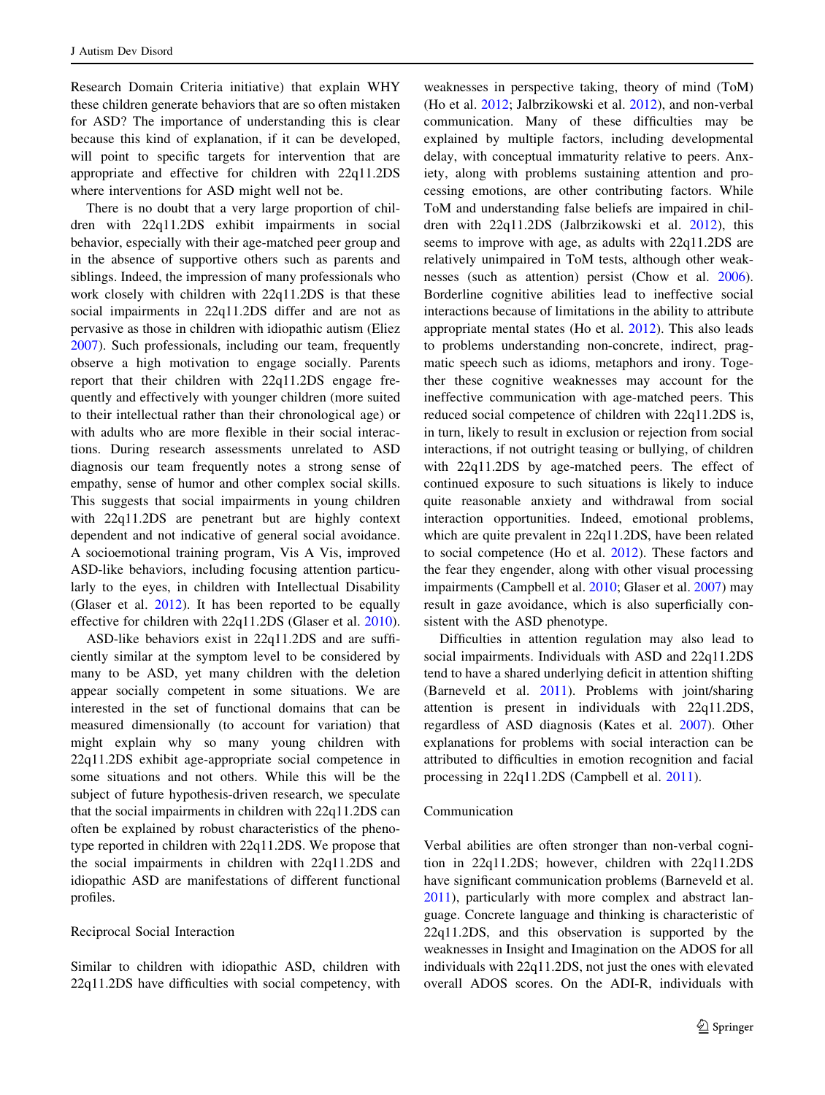Research Domain Criteria initiative) that explain WHY these children generate behaviors that are so often mistaken for ASD? The importance of understanding this is clear because this kind of explanation, if it can be developed, will point to specific targets for intervention that are appropriate and effective for children with 22q11.2DS where interventions for ASD might well not be.

There is no doubt that a very large proportion of children with 22q11.2DS exhibit impairments in social behavior, especially with their age-matched peer group and in the absence of supportive others such as parents and siblings. Indeed, the impression of many professionals who work closely with children with 22q11.2DS is that these social impairments in 22q11.2DS differ and are not as pervasive as those in children with idiopathic autism (Eliez [2007\)](#page-6-0). Such professionals, including our team, frequently observe a high motivation to engage socially. Parents report that their children with 22q11.2DS engage frequently and effectively with younger children (more suited to their intellectual rather than their chronological age) or with adults who are more flexible in their social interactions. During research assessments unrelated to ASD diagnosis our team frequently notes a strong sense of empathy, sense of humor and other complex social skills. This suggests that social impairments in young children with 22q11.2DS are penetrant but are highly context dependent and not indicative of general social avoidance. A socioemotional training program, Vis A Vis, improved ASD-like behaviors, including focusing attention particularly to the eyes, in children with Intellectual Disability (Glaser et al. [2012\)](#page-6-0). It has been reported to be equally effective for children with 22q11.2DS (Glaser et al. [2010](#page-6-0)).

ASD-like behaviors exist in 22q11.2DS and are sufficiently similar at the symptom level to be considered by many to be ASD, yet many children with the deletion appear socially competent in some situations. We are interested in the set of functional domains that can be measured dimensionally (to account for variation) that might explain why so many young children with 22q11.2DS exhibit age-appropriate social competence in some situations and not others. While this will be the subject of future hypothesis-driven research, we speculate that the social impairments in children with 22q11.2DS can often be explained by robust characteristics of the phenotype reported in children with 22q11.2DS. We propose that the social impairments in children with 22q11.2DS and idiopathic ASD are manifestations of different functional profiles.

## Reciprocal Social Interaction

Similar to children with idiopathic ASD, children with 22q11.2DS have difficulties with social competency, with

weaknesses in perspective taking, theory of mind (ToM) (Ho et al. [2012;](#page-6-0) Jalbrzikowski et al. [2012\)](#page-6-0), and non-verbal communication. Many of these difficulties may be explained by multiple factors, including developmental delay, with conceptual immaturity relative to peers. Anxiety, along with problems sustaining attention and processing emotions, are other contributing factors. While ToM and understanding false beliefs are impaired in children with 22q11.2DS (Jalbrzikowski et al. [2012](#page-6-0)), this seems to improve with age, as adults with 22q11.2DS are relatively unimpaired in ToM tests, although other weaknesses (such as attention) persist (Chow et al. [2006](#page-6-0)). Borderline cognitive abilities lead to ineffective social interactions because of limitations in the ability to attribute appropriate mental states (Ho et al. [2012\)](#page-6-0). This also leads to problems understanding non-concrete, indirect, pragmatic speech such as idioms, metaphors and irony. Together these cognitive weaknesses may account for the ineffective communication with age-matched peers. This reduced social competence of children with 22q11.2DS is, in turn, likely to result in exclusion or rejection from social interactions, if not outright teasing or bullying, of children with 22q11.2DS by age-matched peers. The effect of continued exposure to such situations is likely to induce quite reasonable anxiety and withdrawal from social interaction opportunities. Indeed, emotional problems, which are quite prevalent in 22q11.2DS, have been related to social competence (Ho et al. [2012](#page-6-0)). These factors and the fear they engender, along with other visual processing impairments (Campbell et al. [2010](#page-6-0); Glaser et al. [2007](#page-6-0)) may result in gaze avoidance, which is also superficially consistent with the ASD phenotype.

Difficulties in attention regulation may also lead to social impairments. Individuals with ASD and 22q11.2DS tend to have a shared underlying deficit in attention shifting (Barneveld et al. [2011\)](#page-6-0). Problems with joint/sharing attention is present in individuals with 22q11.2DS, regardless of ASD diagnosis (Kates et al. [2007\)](#page-6-0). Other explanations for problems with social interaction can be attributed to difficulties in emotion recognition and facial processing in 22q11.2DS (Campbell et al. [2011](#page-6-0)).

## Communication

Verbal abilities are often stronger than non-verbal cognition in 22q11.2DS; however, children with 22q11.2DS have significant communication problems (Barneveld et al. [2011](#page-6-0)), particularly with more complex and abstract language. Concrete language and thinking is characteristic of 22q11.2DS, and this observation is supported by the weaknesses in Insight and Imagination on the ADOS for all individuals with 22q11.2DS, not just the ones with elevated overall ADOS scores. On the ADI-R, individuals with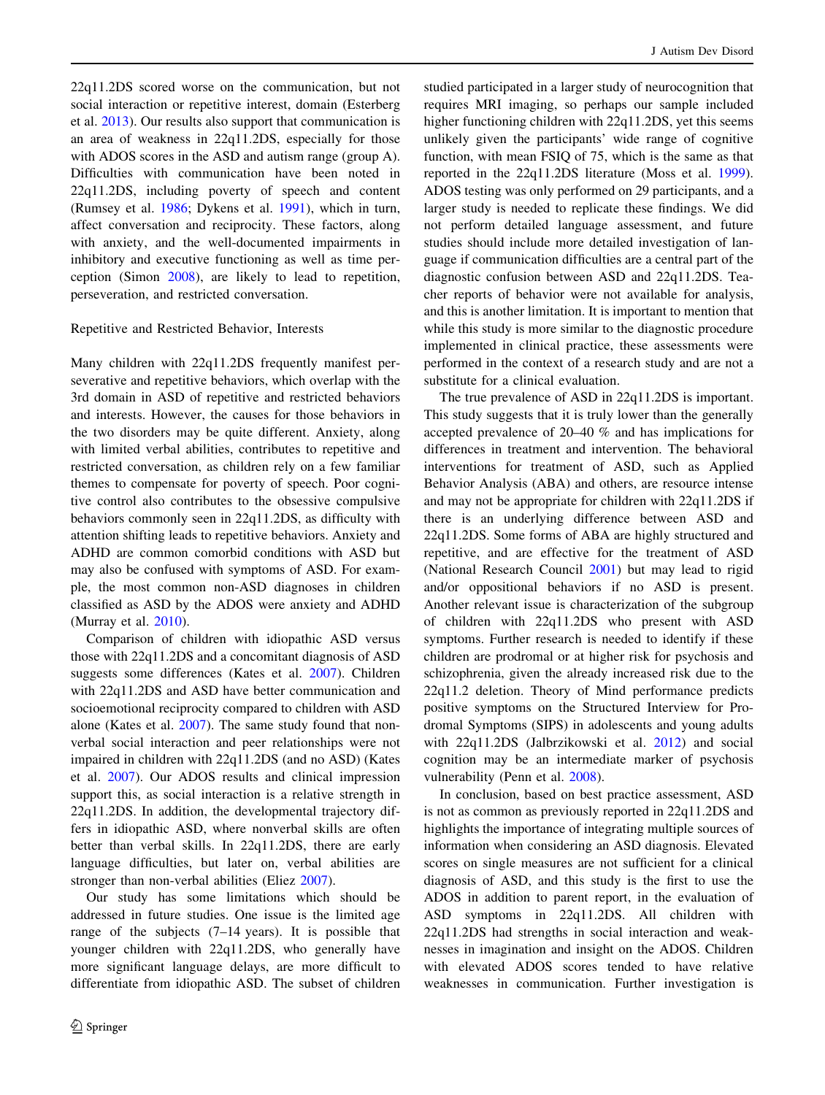22q11.2DS scored worse on the communication, but not social interaction or repetitive interest, domain (Esterberg et al. [2013](#page-6-0)). Our results also support that communication is an area of weakness in 22q11.2DS, especially for those with ADOS scores in the ASD and autism range (group A). Difficulties with communication have been noted in 22q11.2DS, including poverty of speech and content (Rumsey et al. [1986;](#page-7-0) Dykens et al. [1991](#page-6-0)), which in turn, affect conversation and reciprocity. These factors, along with anxiety, and the well-documented impairments in inhibitory and executive functioning as well as time perception (Simon [2008](#page-7-0)), are likely to lead to repetition, perseveration, and restricted conversation.

#### Repetitive and Restricted Behavior, Interests

Many children with 22q11.2DS frequently manifest perseverative and repetitive behaviors, which overlap with the 3rd domain in ASD of repetitive and restricted behaviors and interests. However, the causes for those behaviors in the two disorders may be quite different. Anxiety, along with limited verbal abilities, contributes to repetitive and restricted conversation, as children rely on a few familiar themes to compensate for poverty of speech. Poor cognitive control also contributes to the obsessive compulsive behaviors commonly seen in 22q11.2DS, as difficulty with attention shifting leads to repetitive behaviors. Anxiety and ADHD are common comorbid conditions with ASD but may also be confused with symptoms of ASD. For example, the most common non-ASD diagnoses in children classified as ASD by the ADOS were anxiety and ADHD (Murray et al. [2010](#page-7-0)).

Comparison of children with idiopathic ASD versus those with 22q11.2DS and a concomitant diagnosis of ASD suggests some differences (Kates et al. [2007](#page-6-0)). Children with 22q11.2DS and ASD have better communication and socioemotional reciprocity compared to children with ASD alone (Kates et al. [2007](#page-6-0)). The same study found that nonverbal social interaction and peer relationships were not impaired in children with 22q11.2DS (and no ASD) (Kates et al. [2007\)](#page-6-0). Our ADOS results and clinical impression support this, as social interaction is a relative strength in 22q11.2DS. In addition, the developmental trajectory differs in idiopathic ASD, where nonverbal skills are often better than verbal skills. In 22q11.2DS, there are early language difficulties, but later on, verbal abilities are stronger than non-verbal abilities (Eliez [2007\)](#page-6-0).

Our study has some limitations which should be addressed in future studies. One issue is the limited age range of the subjects (7–14 years). It is possible that younger children with 22q11.2DS, who generally have more significant language delays, are more difficult to differentiate from idiopathic ASD. The subset of children studied participated in a larger study of neurocognition that requires MRI imaging, so perhaps our sample included higher functioning children with 22q11.2DS, yet this seems unlikely given the participants' wide range of cognitive function, with mean FSIQ of 75, which is the same as that reported in the 22q11.2DS literature (Moss et al. [1999](#page-7-0)). ADOS testing was only performed on 29 participants, and a larger study is needed to replicate these findings. We did not perform detailed language assessment, and future studies should include more detailed investigation of language if communication difficulties are a central part of the diagnostic confusion between ASD and 22q11.2DS. Teacher reports of behavior were not available for analysis, and this is another limitation. It is important to mention that while this study is more similar to the diagnostic procedure implemented in clinical practice, these assessments were performed in the context of a research study and are not a substitute for a clinical evaluation.

The true prevalence of ASD in 22q11.2DS is important. This study suggests that it is truly lower than the generally accepted prevalence of 20–40 % and has implications for differences in treatment and intervention. The behavioral interventions for treatment of ASD, such as Applied Behavior Analysis (ABA) and others, are resource intense and may not be appropriate for children with 22q11.2DS if there is an underlying difference between ASD and 22q11.2DS. Some forms of ABA are highly structured and repetitive, and are effective for the treatment of ASD (National Research Council [2001](#page-7-0)) but may lead to rigid and/or oppositional behaviors if no ASD is present. Another relevant issue is characterization of the subgroup of children with 22q11.2DS who present with ASD symptoms. Further research is needed to identify if these children are prodromal or at higher risk for psychosis and schizophrenia, given the already increased risk due to the 22q11.2 deletion. Theory of Mind performance predicts positive symptoms on the Structured Interview for Prodromal Symptoms (SIPS) in adolescents and young adults with 22q11.2DS (Jalbrzikowski et al. [2012](#page-6-0)) and social cognition may be an intermediate marker of psychosis vulnerability (Penn et al. [2008\)](#page-7-0).

In conclusion, based on best practice assessment, ASD is not as common as previously reported in 22q11.2DS and highlights the importance of integrating multiple sources of information when considering an ASD diagnosis. Elevated scores on single measures are not sufficient for a clinical diagnosis of ASD, and this study is the first to use the ADOS in addition to parent report, in the evaluation of ASD symptoms in 22q11.2DS. All children with 22q11.2DS had strengths in social interaction and weaknesses in imagination and insight on the ADOS. Children with elevated ADOS scores tended to have relative weaknesses in communication. Further investigation is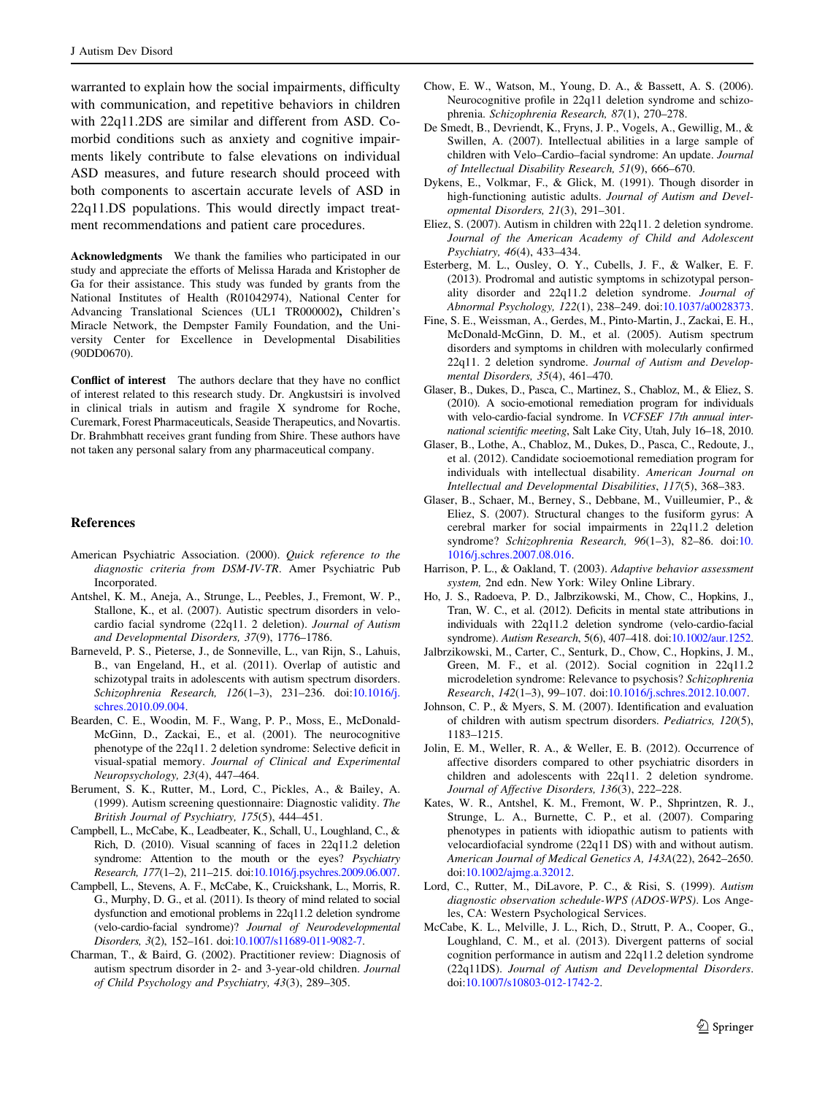<span id="page-6-0"></span>warranted to explain how the social impairments, difficulty with communication, and repetitive behaviors in children with 22q11.2DS are similar and different from ASD. Comorbid conditions such as anxiety and cognitive impairments likely contribute to false elevations on individual ASD measures, and future research should proceed with both components to ascertain accurate levels of ASD in 22q11.DS populations. This would directly impact treatment recommendations and patient care procedures.

Acknowledgments We thank the families who participated in our study and appreciate the efforts of Melissa Harada and Kristopher de Ga for their assistance. This study was funded by grants from the National Institutes of Health (R01042974), National Center for Advancing Translational Sciences (UL1 TR000002), Children's Miracle Network, the Dempster Family Foundation, and the University Center for Excellence in Developmental Disabilities (90DD0670).

Conflict of interest The authors declare that they have no conflict of interest related to this research study. Dr. Angkustsiri is involved in clinical trials in autism and fragile X syndrome for Roche, Curemark, Forest Pharmaceuticals, Seaside Therapeutics, and Novartis. Dr. Brahmbhatt receives grant funding from Shire. These authors have not taken any personal salary from any pharmaceutical company.

#### References

- American Psychiatric Association. (2000). Quick reference to the diagnostic criteria from DSM-IV-TR. Amer Psychiatric Pub Incorporated.
- Antshel, K. M., Aneja, A., Strunge, L., Peebles, J., Fremont, W. P., Stallone, K., et al. (2007). Autistic spectrum disorders in velocardio facial syndrome (22q11. 2 deletion). Journal of Autism and Developmental Disorders, 37(9), 1776–1786.
- Barneveld, P. S., Pieterse, J., de Sonneville, L., van Rijn, S., Lahuis, B., van Engeland, H., et al. (2011). Overlap of autistic and schizotypal traits in adolescents with autism spectrum disorders. Schizophrenia Research, 126(1–3), 231–236. doi:[10.1016/j.](http://dx.doi.org/10.1016/j.schres.2010.09.004) [schres.2010.09.004.](http://dx.doi.org/10.1016/j.schres.2010.09.004)
- Bearden, C. E., Woodin, M. F., Wang, P. P., Moss, E., McDonald-McGinn, D., Zackai, E., et al. (2001). The neurocognitive phenotype of the 22q11. 2 deletion syndrome: Selective deficit in visual-spatial memory. Journal of Clinical and Experimental Neuropsychology, 23(4), 447–464.
- Berument, S. K., Rutter, M., Lord, C., Pickles, A., & Bailey, A. (1999). Autism screening questionnaire: Diagnostic validity. The British Journal of Psychiatry, 175(5), 444–451.
- Campbell, L., McCabe, K., Leadbeater, K., Schall, U., Loughland, C., & Rich, D. (2010). Visual scanning of faces in 22q11.2 deletion syndrome: Attention to the mouth or the eyes? Psychiatry Research, 177(1–2), 211–215. doi[:10.1016/j.psychres.2009.06.007.](http://dx.doi.org/10.1016/j.psychres.2009.06.007)
- Campbell, L., Stevens, A. F., McCabe, K., Cruickshank, L., Morris, R. G., Murphy, D. G., et al. (2011). Is theory of mind related to social dysfunction and emotional problems in 22q11.2 deletion syndrome (velo-cardio-facial syndrome)? Journal of Neurodevelopmental Disorders, 3(2), 152–161. doi[:10.1007/s11689-011-9082-7.](http://dx.doi.org/10.1007/s11689-011-9082-7)
- Charman, T., & Baird, G. (2002). Practitioner review: Diagnosis of autism spectrum disorder in 2- and 3-year-old children. Journal of Child Psychology and Psychiatry, 43(3), 289–305.
- Chow, E. W., Watson, M., Young, D. A., & Bassett, A. S. (2006). Neurocognitive profile in 22q11 deletion syndrome and schizophrenia. Schizophrenia Research, 87(1), 270–278.
- De Smedt, B., Devriendt, K., Fryns, J. P., Vogels, A., Gewillig, M., & Swillen, A. (2007). Intellectual abilities in a large sample of children with Velo–Cardio–facial syndrome: An update. Journal of Intellectual Disability Research, 51(9), 666–670.
- Dykens, E., Volkmar, F., & Glick, M. (1991). Though disorder in high-functioning autistic adults. Journal of Autism and Developmental Disorders, 21(3), 291–301.
- Eliez, S. (2007). Autism in children with 22q11. 2 deletion syndrome. Journal of the American Academy of Child and Adolescent Psychiatry, 46(4), 433–434.
- Esterberg, M. L., Ousley, O. Y., Cubells, J. F., & Walker, E. F. (2013). Prodromal and autistic symptoms in schizotypal personality disorder and 22q11.2 deletion syndrome. Journal of Abnormal Psychology, 122(1), 238–249. doi:[10.1037/a0028373](http://dx.doi.org/10.1037/a0028373).
- Fine, S. E., Weissman, A., Gerdes, M., Pinto-Martin, J., Zackai, E. H., McDonald-McGinn, D. M., et al. (2005). Autism spectrum disorders and symptoms in children with molecularly confirmed 22q11. 2 deletion syndrome. Journal of Autism and Developmental Disorders, 35(4), 461–470.
- Glaser, B., Dukes, D., Pasca, C., Martinez, S., Chabloz, M., & Eliez, S. (2010). A socio-emotional remediation program for individuals with velo-cardio-facial syndrome. In VCFSEF 17th annual international scientific meeting, Salt Lake City, Utah, July 16–18, 2010.
- Glaser, B., Lothe, A., Chabloz, M., Dukes, D., Pasca, C., Redoute, J., et al. (2012). Candidate socioemotional remediation program for individuals with intellectual disability. American Journal on Intellectual and Developmental Disabilities, 117(5), 368–383.
- Glaser, B., Schaer, M., Berney, S., Debbane, M., Vuilleumier, P., & Eliez, S. (2007). Structural changes to the fusiform gyrus: A cerebral marker for social impairments in 22q11.2 deletion syndrome? Schizophrenia Research, 96(1–3), 82–86. doi:[10.](http://dx.doi.org/10.1016/j.schres.2007.08.016) [1016/j.schres.2007.08.016.](http://dx.doi.org/10.1016/j.schres.2007.08.016)
- Harrison, P. L., & Oakland, T. (2003). Adaptive behavior assessment system, 2nd edn. New York: Wiley Online Library.
- Ho, J. S., Radoeva, P. D., Jalbrzikowski, M., Chow, C., Hopkins, J., Tran, W. C., et al. (2012). Deficits in mental state attributions in individuals with 22q11.2 deletion syndrome (velo-cardio-facial syndrome). Autism Research, 5(6), 407–418. doi[:10.1002/aur.1252](http://dx.doi.org/10.1002/aur.1252).
- Jalbrzikowski, M., Carter, C., Senturk, D., Chow, C., Hopkins, J. M., Green, M. F., et al. (2012). Social cognition in 22q11.2 microdeletion syndrome: Relevance to psychosis? Schizophrenia Research, 142(1–3), 99–107. doi[:10.1016/j.schres.2012.10.007](http://dx.doi.org/10.1016/j.schres.2012.10.007).
- Johnson, C. P., & Myers, S. M. (2007). Identification and evaluation of children with autism spectrum disorders. Pediatrics, 120(5), 1183–1215.
- Jolin, E. M., Weller, R. A., & Weller, E. B. (2012). Occurrence of affective disorders compared to other psychiatric disorders in children and adolescents with 22q11. 2 deletion syndrome. Journal of Affective Disorders, 136(3), 222–228.
- Kates, W. R., Antshel, K. M., Fremont, W. P., Shprintzen, R. J., Strunge, L. A., Burnette, C. P., et al. (2007). Comparing phenotypes in patients with idiopathic autism to patients with velocardiofacial syndrome (22q11 DS) with and without autism. American Journal of Medical Genetics A, 143A(22), 2642–2650. doi[:10.1002/ajmg.a.32012](http://dx.doi.org/10.1002/ajmg.a.32012).
- Lord, C., Rutter, M., DiLavore, P. C., & Risi, S. (1999). Autism diagnostic observation schedule-WPS (ADOS-WPS). Los Angeles, CA: Western Psychological Services.
- McCabe, K. L., Melville, J. L., Rich, D., Strutt, P. A., Cooper, G., Loughland, C. M., et al. (2013). Divergent patterns of social cognition performance in autism and 22q11.2 deletion syndrome (22q11DS). Journal of Autism and Developmental Disorders. doi[:10.1007/s10803-012-1742-2](http://dx.doi.org/10.1007/s10803-012-1742-2).